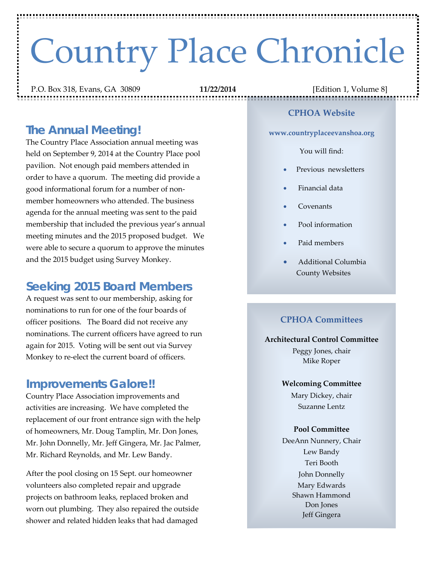# Country Place Chronicle

P.O. Box 318, Evans, GA 30809 **11/22/2014** [Edition 1, Volume 8]

## *The Annual Meeting!*

The Country Place Association annual meeting was held on September 9, 2014 at the Country Place pool pavilion. Not enough paid members attended in order to have a quorum. The meeting did provide a good informational forum for a number of nonmember homeowners who attended. The business agenda for the annual meeting was sent to the paid membership that included the previous year's annual meeting minutes and the 2015 proposed budget. We were able to secure a quorum to approve the minutes and the 2015 budget using Survey Monkey.

## **Seeking 2015 Board Members**

A request was sent to our membership, asking for nominations to run for one of the four boards of officer positions. The Board did not receive any nominations. The current officers have agreed to run again for 2015. Voting will be sent out via Survey Monkey to re-elect the current board of officers.

### *Improvements Galore!!*

Country Place Association improvements and activities are increasing. We have completed the replacement of our front entrance sign with the help of homeowners, Mr. Doug Tamplin, Mr. Don Jones, Mr. John Donnelly, Mr. Jeff Gingera, Mr. Jac Palmer, Mr. Richard Reynolds, and Mr. Lew Bandy.

After the pool closing on 15 Sept. our homeowner volunteers also completed repair and upgrade projects on bathroom leaks, replaced broken and worn out plumbing. They also repaired the outside shower and related hidden leaks that had damaged

#### **CPHOA Website**

**www.countryplaceevanshoa.org**

#### You will find:

- Previous newsletters
- Financial data
- Covenants
- Pool information
- Paid members
- Additional Columbia County Websites

#### **CPHOA Committees**

#### **Architectural Control Committee**

Peggy Jones, chair Mike Roper

#### **Welcoming Committee**

Mary Dickey, chair Suzanne Lentz

#### **Pool Committee**

DeeAnn Nunnery, Chair Lew Bandy Teri Booth John Donnelly Mary Edwards Shawn Hammond Don Jones Jeff Gingera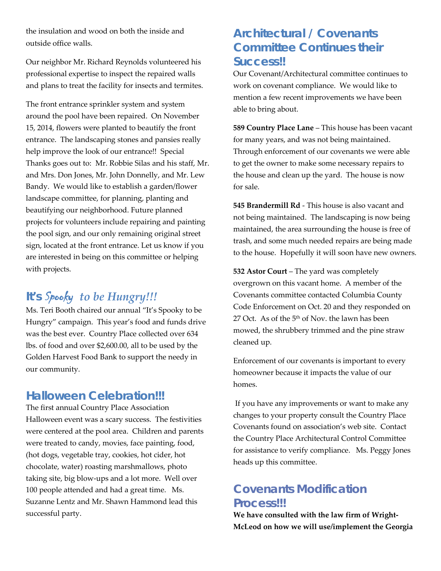the insulation and wood on both the inside and outside office walls.

Our neighbor Mr. Richard Reynolds volunteered his professional expertise to inspect the repaired walls and plans to treat the facility for insects and termites.

The front entrance sprinkler system and system around the pool have been repaired. On November 15, 2014, flowers were planted to beautify the front entrance. The landscaping stones and pansies really help improve the look of our entrance!! Special Thanks goes out to: Mr. Robbie Silas and his staff, Mr. and Mrs. Don Jones, Mr. John Donnelly, and Mr. Lew Bandy. We would like to establish a garden/flower landscape committee, for planning, planting and beautifying our neighborhood. Future planned projects for volunteers include repairing and painting the pool sign, and our only remaining original street sign, located at the front entrance. Let us know if you are interested in being on this committee or helping with projects.

# *It's* Spooky *to be Hungry!!!*

Ms. Teri Booth chaired our annual "It's Spooky to be Hungry" campaign. This year's food and funds drive was the best ever. Country Place collected over 634 lbs. of food and over \$2,600.00, all to be used by the Golden Harvest Food Bank to support the needy in our community.

## *Halloween Celebration!!!*

The first annual Country Place Association Halloween event was a scary success. The festivities were centered at the pool area. Children and parents were treated to candy, movies, face painting, food, (hot dogs, vegetable tray, cookies, hot cider, hot chocolate, water) roasting marshmallows, photo taking site, big blow-ups and a lot more. Well over 100 people attended and had a great time. Ms. Suzanne Lentz and Mr. Shawn Hammond lead this successful party.

# *Architectural / Covenants Committee Continues their Success!!*

Our Covenant/Architectural committee continues to work on covenant compliance. We would like to mention a few recent improvements we have been able to bring about.

**589 Country Place Lane** – This house has been vacant for many years, and was not being maintained. Through enforcement of our covenants we were able to get the owner to make some necessary repairs to the house and clean up the yard. The house is now for sale.

**545 Brandermill Rd** - This house is also vacant and not being maintained. The landscaping is now being maintained, the area surrounding the house is free of trash, and some much needed repairs are being made to the house. Hopefully it will soon have new owners.

**532 Astor Court** – The yard was completely overgrown on this vacant home. A member of the Covenants committee contacted Columbia County Code Enforcement on Oct. 20 and they responded on 27 Oct. As of the 5<sup>th</sup> of Nov. the lawn has been mowed, the shrubbery trimmed and the pine straw cleaned up.

Enforcement of our covenants is important to every homeowner because it impacts the value of our homes.

If you have any improvements or want to make any changes to your property consult the Country Place Covenants found on association's web site. Contact the Country Place Architectural Control Committee for assistance to verify compliance. Ms. Peggy Jones heads up this committee.

# *Covenants Modification Process!!!*

**We have consulted with the law firm of Wright-McLeod on how we will use/implement the Georgia**